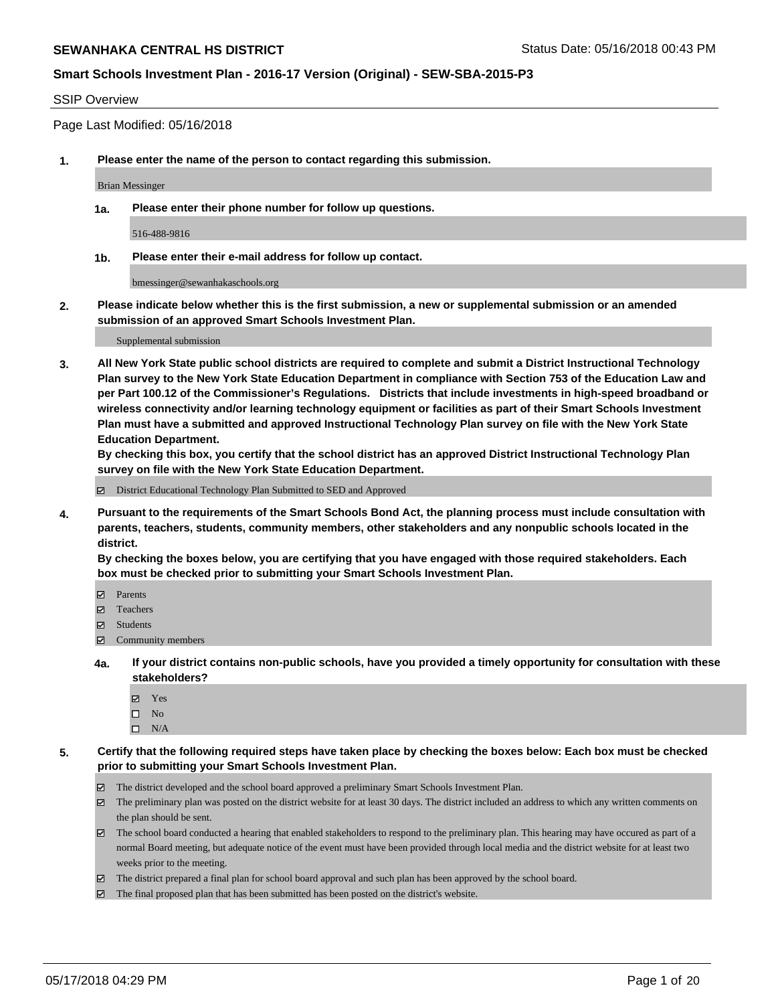#### SSIP Overview

Page Last Modified: 05/16/2018

**1. Please enter the name of the person to contact regarding this submission.**

Brian Messinger

**1a. Please enter their phone number for follow up questions.**

516-488-9816

**1b. Please enter their e-mail address for follow up contact.**

bmessinger@sewanhakaschools.org

**2. Please indicate below whether this is the first submission, a new or supplemental submission or an amended submission of an approved Smart Schools Investment Plan.**

Supplemental submission

**3. All New York State public school districts are required to complete and submit a District Instructional Technology Plan survey to the New York State Education Department in compliance with Section 753 of the Education Law and per Part 100.12 of the Commissioner's Regulations. Districts that include investments in high-speed broadband or wireless connectivity and/or learning technology equipment or facilities as part of their Smart Schools Investment Plan must have a submitted and approved Instructional Technology Plan survey on file with the New York State Education Department.** 

**By checking this box, you certify that the school district has an approved District Instructional Technology Plan survey on file with the New York State Education Department.**

District Educational Technology Plan Submitted to SED and Approved

**4. Pursuant to the requirements of the Smart Schools Bond Act, the planning process must include consultation with parents, teachers, students, community members, other stakeholders and any nonpublic schools located in the district.** 

**By checking the boxes below, you are certifying that you have engaged with those required stakeholders. Each box must be checked prior to submitting your Smart Schools Investment Plan.**

- Parents
- Teachers
- Students
- $\Xi$  Community members
- **4a. If your district contains non-public schools, have you provided a timely opportunity for consultation with these stakeholders?**
	- Yes
	- $\square$  No
	- $\square$  N/A
- **5. Certify that the following required steps have taken place by checking the boxes below: Each box must be checked prior to submitting your Smart Schools Investment Plan.**
	- The district developed and the school board approved a preliminary Smart Schools Investment Plan.
	- $\boxtimes$  The preliminary plan was posted on the district website for at least 30 days. The district included an address to which any written comments on the plan should be sent.
	- $\boxtimes$  The school board conducted a hearing that enabled stakeholders to respond to the preliminary plan. This hearing may have occured as part of a normal Board meeting, but adequate notice of the event must have been provided through local media and the district website for at least two weeks prior to the meeting.
	- The district prepared a final plan for school board approval and such plan has been approved by the school board.
	- $\boxtimes$  The final proposed plan that has been submitted has been posted on the district's website.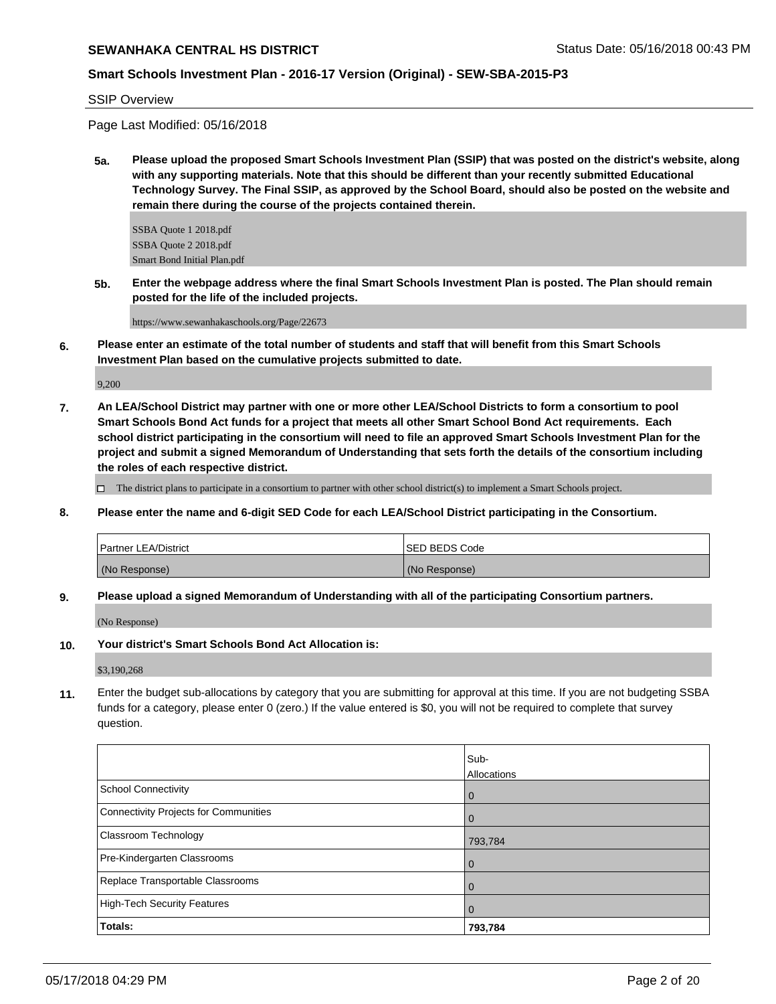## **Smart Schools Investment Plan - 2016-17 Version (Original) - SEW-SBA-2015-P3**

SSIP Overview

Page Last Modified: 05/16/2018

**5a. Please upload the proposed Smart Schools Investment Plan (SSIP) that was posted on the district's website, along with any supporting materials. Note that this should be different than your recently submitted Educational Technology Survey. The Final SSIP, as approved by the School Board, should also be posted on the website and remain there during the course of the projects contained therein.**

SSBA Quote 1 2018.pdf SSBA Quote 2 2018.pdf Smart Bond Initial Plan.pdf

**5b. Enter the webpage address where the final Smart Schools Investment Plan is posted. The Plan should remain posted for the life of the included projects.**

https://www.sewanhakaschools.org/Page/22673

**6. Please enter an estimate of the total number of students and staff that will benefit from this Smart Schools Investment Plan based on the cumulative projects submitted to date.**

9,200

**7. An LEA/School District may partner with one or more other LEA/School Districts to form a consortium to pool Smart Schools Bond Act funds for a project that meets all other Smart School Bond Act requirements. Each school district participating in the consortium will need to file an approved Smart Schools Investment Plan for the project and submit a signed Memorandum of Understanding that sets forth the details of the consortium including the roles of each respective district.**

 $\Box$  The district plans to participate in a consortium to partner with other school district(s) to implement a Smart Schools project.

**8. Please enter the name and 6-digit SED Code for each LEA/School District participating in the Consortium.**

| <b>Partner LEA/District</b> | ISED BEDS Code |
|-----------------------------|----------------|
| (No Response)               | (No Response)  |

**9. Please upload a signed Memorandum of Understanding with all of the participating Consortium partners.**

(No Response)

**10. Your district's Smart Schools Bond Act Allocation is:**

\$3,190,268

**11.** Enter the budget sub-allocations by category that you are submitting for approval at this time. If you are not budgeting SSBA funds for a category, please enter 0 (zero.) If the value entered is \$0, you will not be required to complete that survey question.

|                                              | Sub-<br>Allocations |
|----------------------------------------------|---------------------|
| <b>School Connectivity</b>                   | 0                   |
| <b>Connectivity Projects for Communities</b> |                     |
| Classroom Technology                         | 793,784             |
| Pre-Kindergarten Classrooms                  | 0                   |
| Replace Transportable Classrooms             |                     |
| <b>High-Tech Security Features</b>           | O                   |
| Totals:                                      | 793,784             |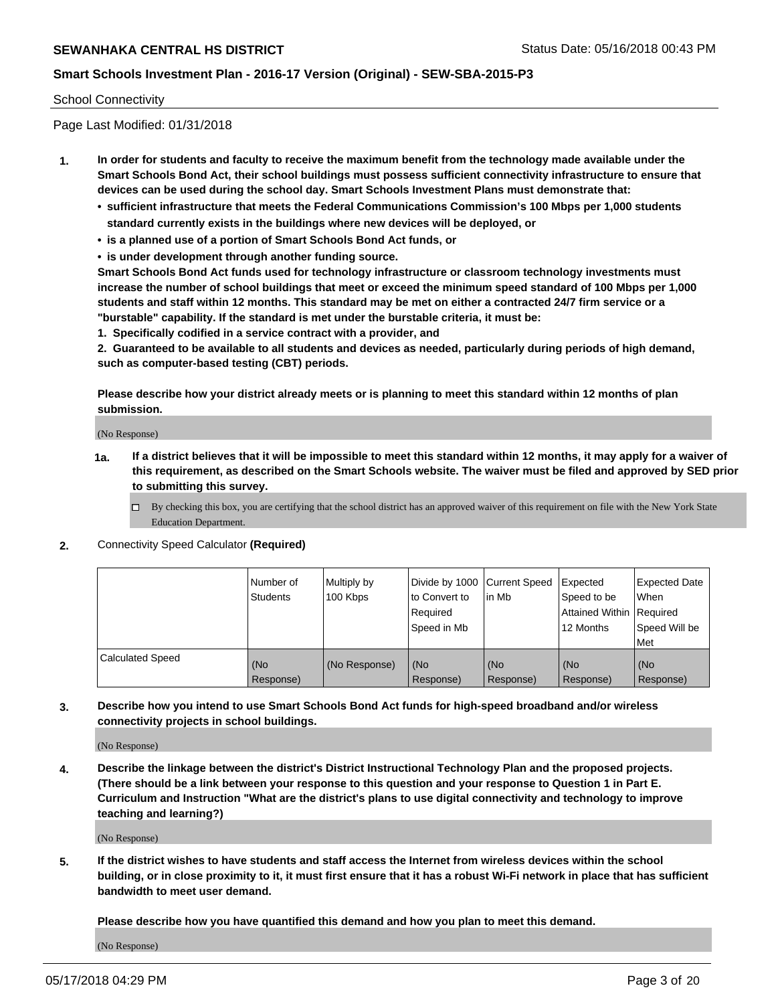#### School Connectivity

Page Last Modified: 01/31/2018

- **1. In order for students and faculty to receive the maximum benefit from the technology made available under the Smart Schools Bond Act, their school buildings must possess sufficient connectivity infrastructure to ensure that devices can be used during the school day. Smart Schools Investment Plans must demonstrate that:**
	- **• sufficient infrastructure that meets the Federal Communications Commission's 100 Mbps per 1,000 students standard currently exists in the buildings where new devices will be deployed, or**
	- **• is a planned use of a portion of Smart Schools Bond Act funds, or**
	- **• is under development through another funding source.**

**Smart Schools Bond Act funds used for technology infrastructure or classroom technology investments must increase the number of school buildings that meet or exceed the minimum speed standard of 100 Mbps per 1,000 students and staff within 12 months. This standard may be met on either a contracted 24/7 firm service or a "burstable" capability. If the standard is met under the burstable criteria, it must be:**

**1. Specifically codified in a service contract with a provider, and**

**2. Guaranteed to be available to all students and devices as needed, particularly during periods of high demand, such as computer-based testing (CBT) periods.**

**Please describe how your district already meets or is planning to meet this standard within 12 months of plan submission.**

(No Response)

- **1a. If a district believes that it will be impossible to meet this standard within 12 months, it may apply for a waiver of this requirement, as described on the Smart Schools website. The waiver must be filed and approved by SED prior to submitting this survey.**
	- By checking this box, you are certifying that the school district has an approved waiver of this requirement on file with the New York State Education Department.
- **2.** Connectivity Speed Calculator **(Required)**

|                         | Number of<br><b>Students</b> | Multiply by<br>100 Kbps | Divide by 1000 Current Speed<br>to Convert to<br>Required<br>l Speed in Mb | lin Mb           | Expected<br>Speed to be<br>Attained Within Required<br>12 Months | <b>Expected Date</b><br><b>When</b><br>Speed Will be<br>l Met |
|-------------------------|------------------------------|-------------------------|----------------------------------------------------------------------------|------------------|------------------------------------------------------------------|---------------------------------------------------------------|
| <b>Calculated Speed</b> | (No<br>Response)             | (No Response)           | (No<br>Response)                                                           | (No<br>Response) | (No<br>Response)                                                 | l (No<br>Response)                                            |

**3. Describe how you intend to use Smart Schools Bond Act funds for high-speed broadband and/or wireless connectivity projects in school buildings.**

(No Response)

**4. Describe the linkage between the district's District Instructional Technology Plan and the proposed projects. (There should be a link between your response to this question and your response to Question 1 in Part E. Curriculum and Instruction "What are the district's plans to use digital connectivity and technology to improve teaching and learning?)**

(No Response)

**5. If the district wishes to have students and staff access the Internet from wireless devices within the school building, or in close proximity to it, it must first ensure that it has a robust Wi-Fi network in place that has sufficient bandwidth to meet user demand.**

**Please describe how you have quantified this demand and how you plan to meet this demand.**

(No Response)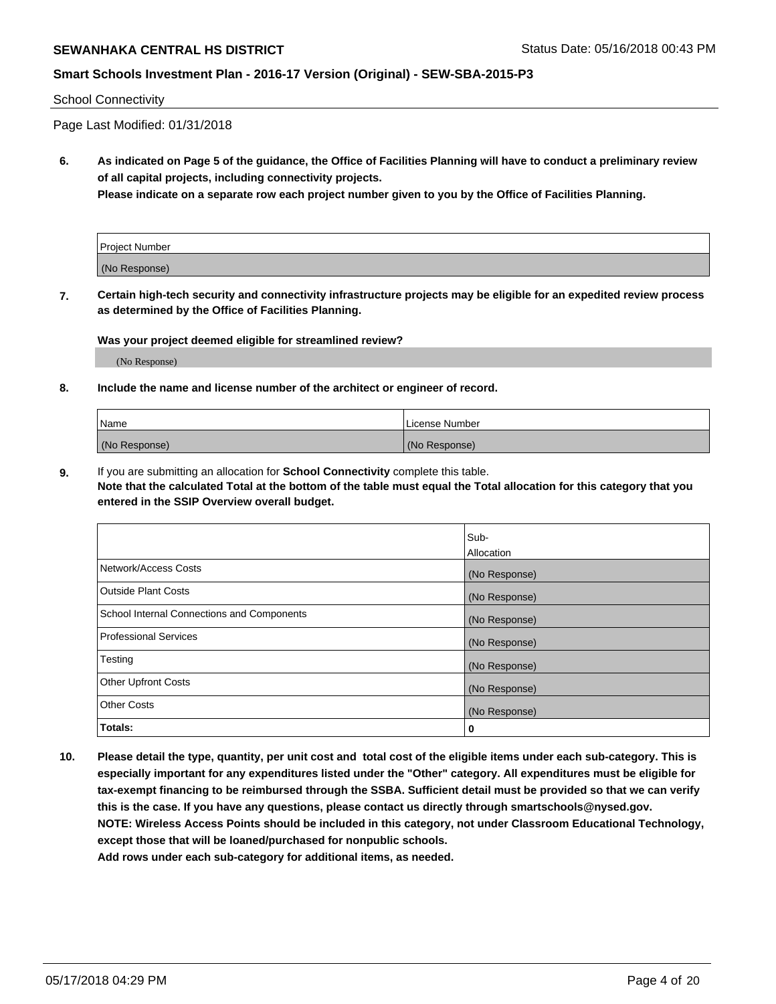# **Smart Schools Investment Plan - 2016-17 Version (Original) - SEW-SBA-2015-P3**

#### School Connectivity

Page Last Modified: 01/31/2018

**6. As indicated on Page 5 of the guidance, the Office of Facilities Planning will have to conduct a preliminary review of all capital projects, including connectivity projects.**

**Please indicate on a separate row each project number given to you by the Office of Facilities Planning.**

| Project Number |  |
|----------------|--|
| (No Response)  |  |

**7. Certain high-tech security and connectivity infrastructure projects may be eligible for an expedited review process as determined by the Office of Facilities Planning.**

#### **Was your project deemed eligible for streamlined review?**

(No Response)

#### **8. Include the name and license number of the architect or engineer of record.**

| Name          | License Number |
|---------------|----------------|
| (No Response) | (No Response)  |

**9.** If you are submitting an allocation for **School Connectivity** complete this table.

**Note that the calculated Total at the bottom of the table must equal the Total allocation for this category that you entered in the SSIP Overview overall budget.** 

|                                            | Sub-          |
|--------------------------------------------|---------------|
|                                            | Allocation    |
| Network/Access Costs                       | (No Response) |
| <b>Outside Plant Costs</b>                 | (No Response) |
| School Internal Connections and Components | (No Response) |
| Professional Services                      | (No Response) |
| Testing                                    | (No Response) |
| <b>Other Upfront Costs</b>                 | (No Response) |
| <b>Other Costs</b>                         | (No Response) |
| Totals:                                    | 0             |

**10. Please detail the type, quantity, per unit cost and total cost of the eligible items under each sub-category. This is especially important for any expenditures listed under the "Other" category. All expenditures must be eligible for tax-exempt financing to be reimbursed through the SSBA. Sufficient detail must be provided so that we can verify this is the case. If you have any questions, please contact us directly through smartschools@nysed.gov. NOTE: Wireless Access Points should be included in this category, not under Classroom Educational Technology, except those that will be loaned/purchased for nonpublic schools.**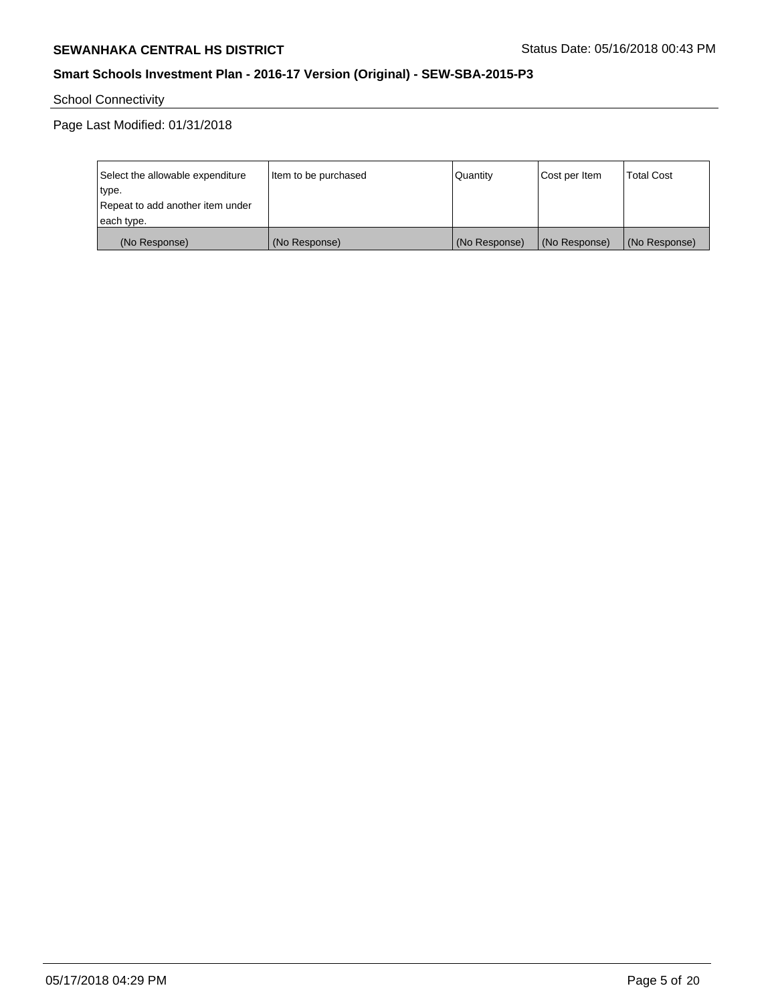School Connectivity

Page Last Modified: 01/31/2018

| Select the allowable expenditure | Item to be purchased | Quantity      | Cost per Item | <b>Total Cost</b> |
|----------------------------------|----------------------|---------------|---------------|-------------------|
| type.                            |                      |               |               |                   |
| Repeat to add another item under |                      |               |               |                   |
| each type.                       |                      |               |               |                   |
| (No Response)                    | (No Response)        | (No Response) | (No Response) | (No Response)     |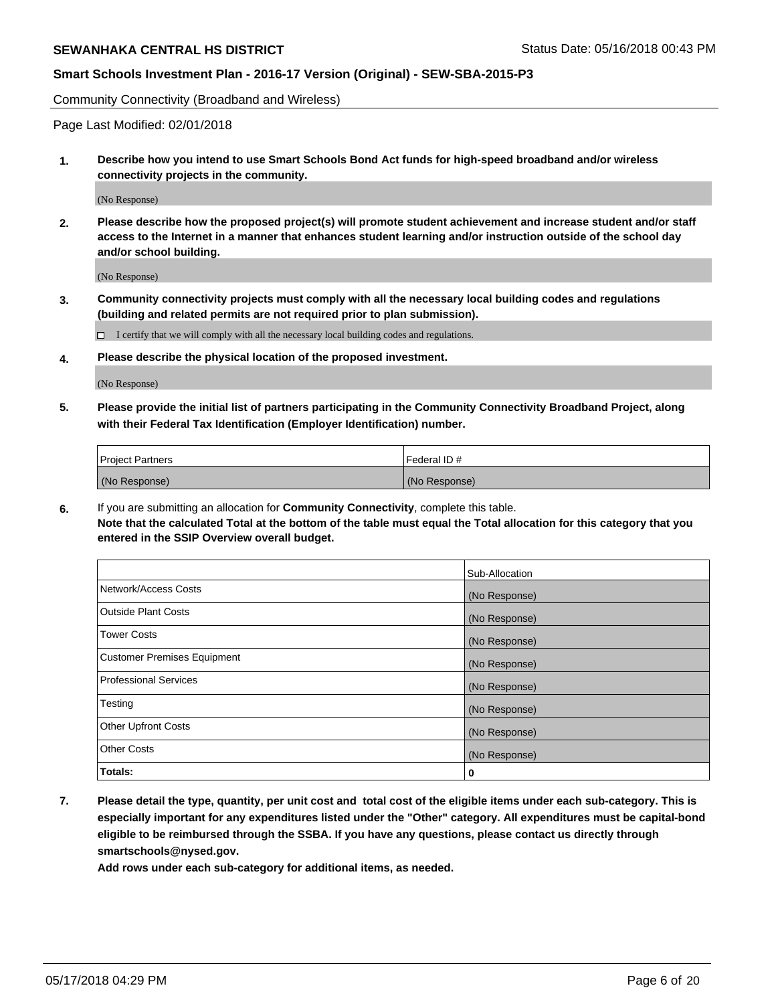Community Connectivity (Broadband and Wireless)

Page Last Modified: 02/01/2018

**1. Describe how you intend to use Smart Schools Bond Act funds for high-speed broadband and/or wireless connectivity projects in the community.**

(No Response)

**2. Please describe how the proposed project(s) will promote student achievement and increase student and/or staff access to the Internet in a manner that enhances student learning and/or instruction outside of the school day and/or school building.**

(No Response)

**3. Community connectivity projects must comply with all the necessary local building codes and regulations (building and related permits are not required prior to plan submission).**

 $\Box$  I certify that we will comply with all the necessary local building codes and regulations.

**4. Please describe the physical location of the proposed investment.**

(No Response)

**5. Please provide the initial list of partners participating in the Community Connectivity Broadband Project, along with their Federal Tax Identification (Employer Identification) number.**

| <b>Project Partners</b> | Federal ID#   |
|-------------------------|---------------|
| (No Response)           | (No Response) |

**6.** If you are submitting an allocation for **Community Connectivity**, complete this table. **Note that the calculated Total at the bottom of the table must equal the Total allocation for this category that you entered in the SSIP Overview overall budget.**

|                                    | Sub-Allocation |
|------------------------------------|----------------|
| Network/Access Costs               | (No Response)  |
| Outside Plant Costs                | (No Response)  |
| <b>Tower Costs</b>                 | (No Response)  |
| <b>Customer Premises Equipment</b> | (No Response)  |
| <b>Professional Services</b>       | (No Response)  |
| Testing                            | (No Response)  |
| <b>Other Upfront Costs</b>         | (No Response)  |
| <b>Other Costs</b>                 | (No Response)  |
| Totals:                            | 0              |

**7. Please detail the type, quantity, per unit cost and total cost of the eligible items under each sub-category. This is especially important for any expenditures listed under the "Other" category. All expenditures must be capital-bond eligible to be reimbursed through the SSBA. If you have any questions, please contact us directly through smartschools@nysed.gov.**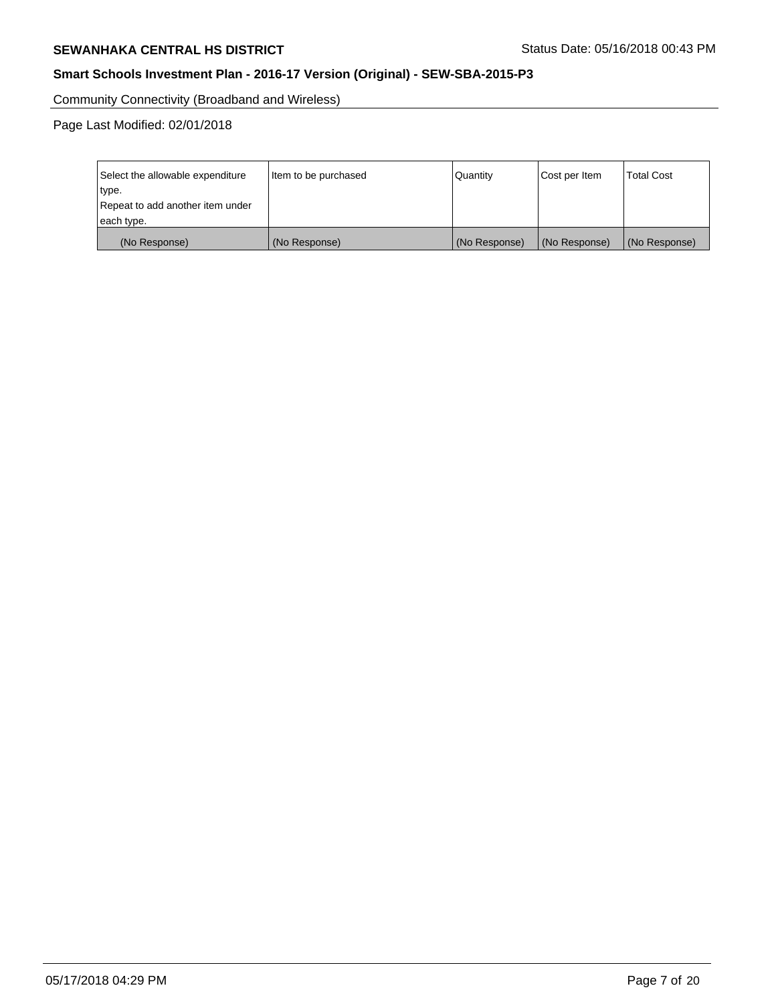Community Connectivity (Broadband and Wireless)

Page Last Modified: 02/01/2018

| Select the allowable expenditure | Item to be purchased | Quantity      | Cost per Item | <b>Total Cost</b> |
|----------------------------------|----------------------|---------------|---------------|-------------------|
| type.                            |                      |               |               |                   |
| Repeat to add another item under |                      |               |               |                   |
| each type.                       |                      |               |               |                   |
| (No Response)                    | (No Response)        | (No Response) | (No Response) | (No Response)     |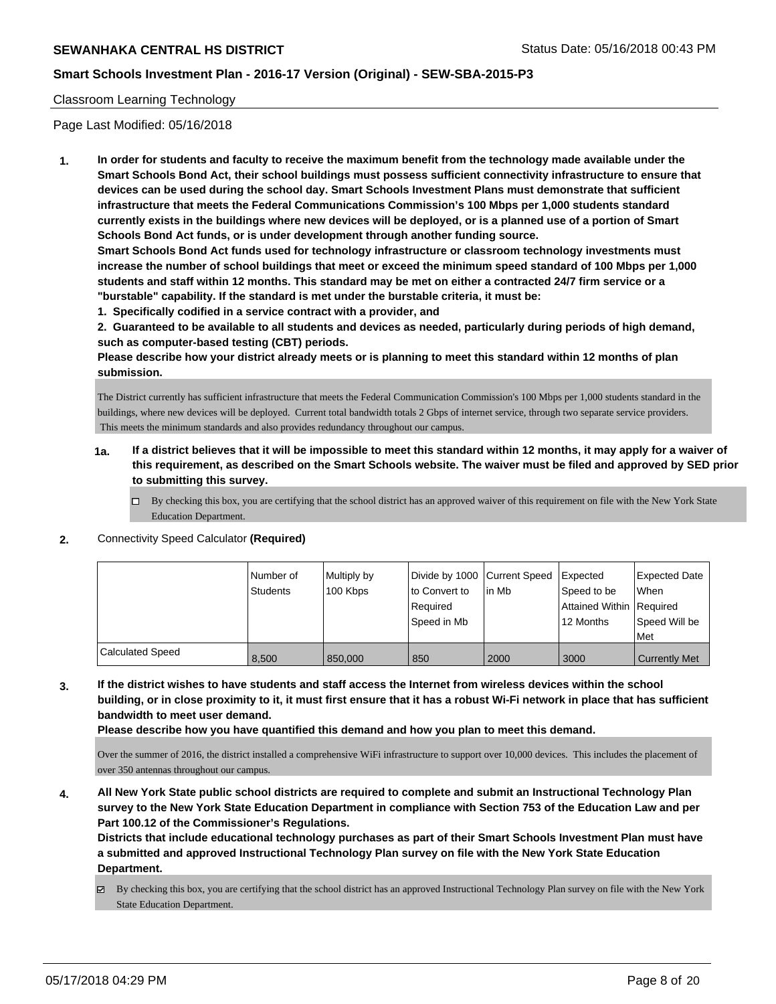### Classroom Learning Technology

Page Last Modified: 05/16/2018

**1. In order for students and faculty to receive the maximum benefit from the technology made available under the Smart Schools Bond Act, their school buildings must possess sufficient connectivity infrastructure to ensure that devices can be used during the school day. Smart Schools Investment Plans must demonstrate that sufficient infrastructure that meets the Federal Communications Commission's 100 Mbps per 1,000 students standard currently exists in the buildings where new devices will be deployed, or is a planned use of a portion of Smart Schools Bond Act funds, or is under development through another funding source.**

**Smart Schools Bond Act funds used for technology infrastructure or classroom technology investments must increase the number of school buildings that meet or exceed the minimum speed standard of 100 Mbps per 1,000 students and staff within 12 months. This standard may be met on either a contracted 24/7 firm service or a "burstable" capability. If the standard is met under the burstable criteria, it must be:**

**1. Specifically codified in a service contract with a provider, and**

**2. Guaranteed to be available to all students and devices as needed, particularly during periods of high demand, such as computer-based testing (CBT) periods.**

**Please describe how your district already meets or is planning to meet this standard within 12 months of plan submission.**

The District currently has sufficient infrastructure that meets the Federal Communication Commission's 100 Mbps per 1,000 students standard in the buildings, where new devices will be deployed. Current total bandwidth totals 2 Gbps of internet service, through two separate service providers. This meets the minimum standards and also provides redundancy throughout our campus.

- **1a. If a district believes that it will be impossible to meet this standard within 12 months, it may apply for a waiver of this requirement, as described on the Smart Schools website. The waiver must be filed and approved by SED prior to submitting this survey.**
	- By checking this box, you are certifying that the school district has an approved waiver of this requirement on file with the New York State Education Department.
- **2.** Connectivity Speed Calculator **(Required)**

|                         | Number of<br><b>Students</b> | Multiply by<br>100 Kbps | Divide by 1000 Current Speed<br>to Convert to<br>Reauired<br>Speed in Mb | lin Mb | Expected<br>Speed to be<br>Attained Within   Required<br>12 Months | <b>Expected Date</b><br>When<br>Speed Will be<br>l Met |
|-------------------------|------------------------------|-------------------------|--------------------------------------------------------------------------|--------|--------------------------------------------------------------------|--------------------------------------------------------|
| <b>Calculated Speed</b> | 8,500                        | 850,000                 | 850                                                                      | 2000   | 3000                                                               | <b>Currently Met</b>                                   |

**3. If the district wishes to have students and staff access the Internet from wireless devices within the school building, or in close proximity to it, it must first ensure that it has a robust Wi-Fi network in place that has sufficient bandwidth to meet user demand.**

**Please describe how you have quantified this demand and how you plan to meet this demand.**

Over the summer of 2016, the district installed a comprehensive WiFi infrastructure to support over 10,000 devices. This includes the placement of over 350 antennas throughout our campus.

**4. All New York State public school districts are required to complete and submit an Instructional Technology Plan survey to the New York State Education Department in compliance with Section 753 of the Education Law and per Part 100.12 of the Commissioner's Regulations.**

**Districts that include educational technology purchases as part of their Smart Schools Investment Plan must have a submitted and approved Instructional Technology Plan survey on file with the New York State Education Department.**

By checking this box, you are certifying that the school district has an approved Instructional Technology Plan survey on file with the New York State Education Department.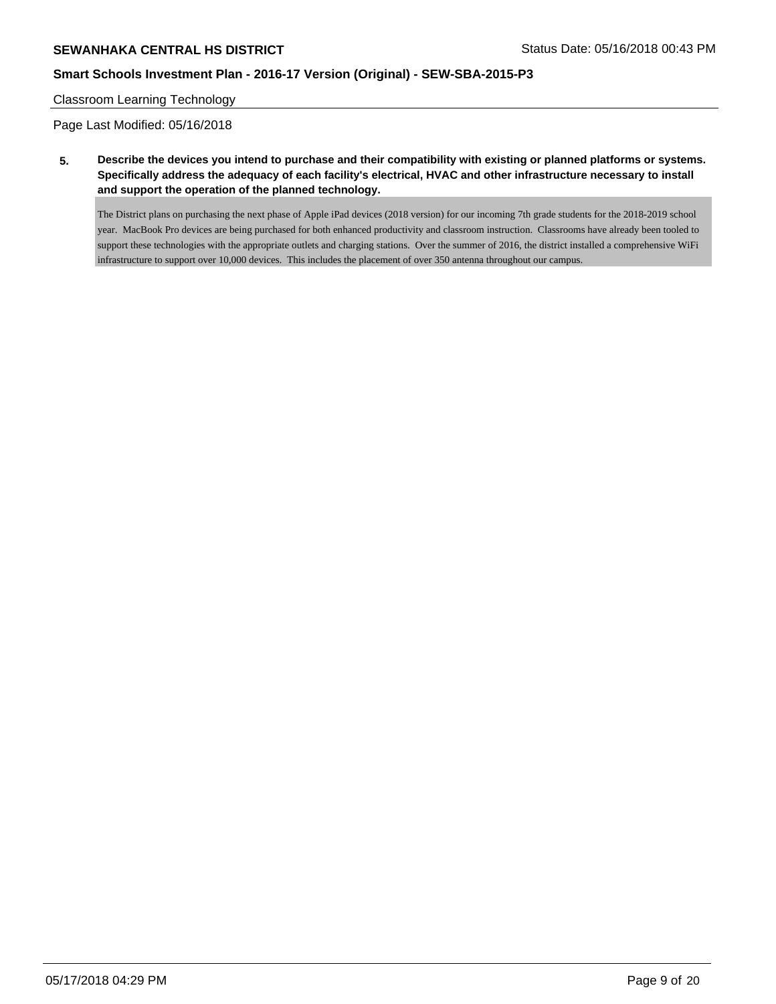# **SEWANHAKA CENTRAL HS DISTRICT** SERVICE STATUS Status Date: 05/16/2018 00:43 PM

# **Smart Schools Investment Plan - 2016-17 Version (Original) - SEW-SBA-2015-P3**

### Classroom Learning Technology

Page Last Modified: 05/16/2018

**5. Describe the devices you intend to purchase and their compatibility with existing or planned platforms or systems. Specifically address the adequacy of each facility's electrical, HVAC and other infrastructure necessary to install and support the operation of the planned technology.**

The District plans on purchasing the next phase of Apple iPad devices (2018 version) for our incoming 7th grade students for the 2018-2019 school year. MacBook Pro devices are being purchased for both enhanced productivity and classroom instruction. Classrooms have already been tooled to support these technologies with the appropriate outlets and charging stations. Over the summer of 2016, the district installed a comprehensive WiFi infrastructure to support over 10,000 devices. This includes the placement of over 350 antenna throughout our campus.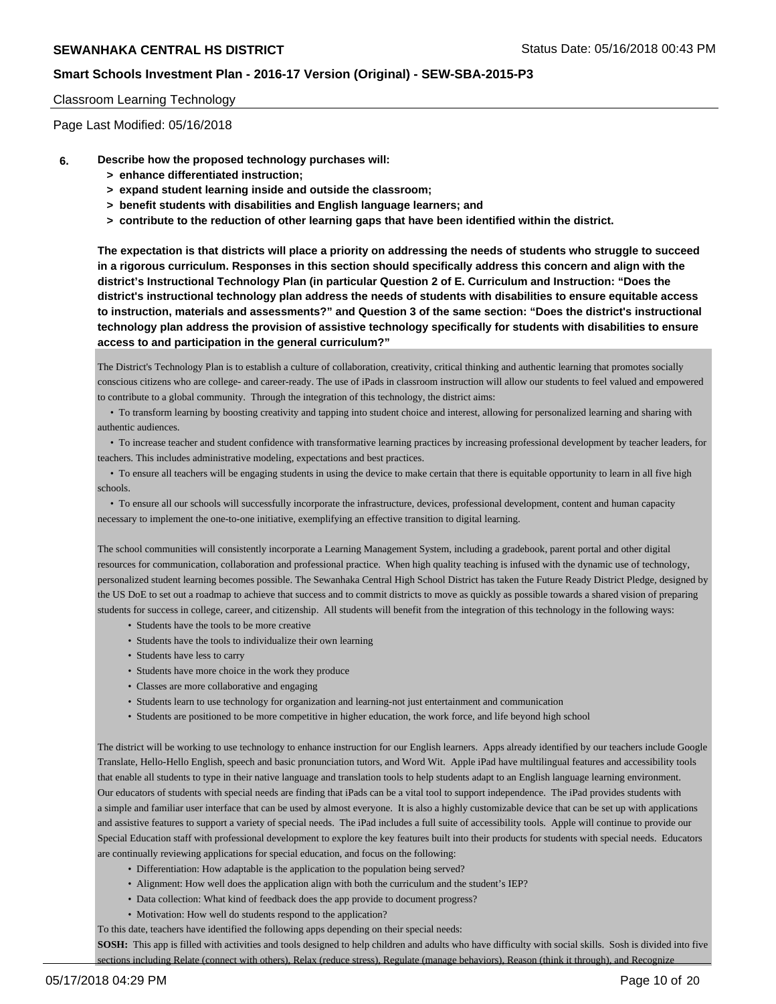#### Classroom Learning Technology

Page Last Modified: 05/16/2018

- **6. Describe how the proposed technology purchases will:**
	- **> enhance differentiated instruction;**
	- **> expand student learning inside and outside the classroom;**
	- **> benefit students with disabilities and English language learners; and**
	- **> contribute to the reduction of other learning gaps that have been identified within the district.**

**The expectation is that districts will place a priority on addressing the needs of students who struggle to succeed in a rigorous curriculum. Responses in this section should specifically address this concern and align with the district's Instructional Technology Plan (in particular Question 2 of E. Curriculum and Instruction: "Does the district's instructional technology plan address the needs of students with disabilities to ensure equitable access to instruction, materials and assessments?" and Question 3 of the same section: "Does the district's instructional technology plan address the provision of assistive technology specifically for students with disabilities to ensure access to and participation in the general curriculum?"**

The District's Technology Plan is to establish a culture of collaboration, creativity, critical thinking and authentic learning that promotes socially conscious citizens who are college- and career-ready. The use of iPads in classroom instruction will allow our students to feel valued and empowered to contribute to a global community. Through the integration of this technology, the district aims:

 • To transform learning by boosting creativity and tapping into student choice and interest, allowing for personalized learning and sharing with authentic audiences.

 • To increase teacher and student confidence with transformative learning practices by increasing professional development by teacher leaders, for teachers. This includes administrative modeling, expectations and best practices.

 • To ensure all teachers will be engaging students in using the device to make certain that there is equitable opportunity to learn in all five high schools.

 • To ensure all our schools will successfully incorporate the infrastructure, devices, professional development, content and human capacity necessary to implement the one-to-one initiative, exemplifying an effective transition to digital learning.

The school communities will consistently incorporate a Learning Management System, including a gradebook, parent portal and other digital resources for communication, collaboration and professional practice. When high quality teaching is infused with the dynamic use of technology, personalized student learning becomes possible. The Sewanhaka Central High School District has taken the Future Ready District Pledge, designed by the US DoE to set out a roadmap to achieve that success and to commit districts to move as quickly as possible towards a shared vision of preparing students for success in college, career, and citizenship. All students will benefit from the integration of this technology in the following ways:

- Students have the tools to be more creative
- Students have the tools to individualize their own learning
- Students have less to carry
- Students have more choice in the work they produce
- Classes are more collaborative and engaging
- Students learn to use technology for organization and learning-not just entertainment and communication
- Students are positioned to be more competitive in higher education, the work force, and life beyond high school

The district will be working to use technology to enhance instruction for our English learners. Apps already identified by our teachers include Google Translate, Hello-Hello English, speech and basic pronunciation tutors, and Word Wit. Apple iPad have multilingual features and accessibility tools that enable all students to type in their native language and translation tools to help students adapt to an English language learning environment. Our educators of students with special needs are finding that iPads can be a vital tool to support independence. The iPad provides students with a simple and familiar user interface that can be used by almost everyone. It is also a highly customizable device that can be set up with applications and assistive features to support a variety of special needs. The iPad includes a full suite of accessibility tools. Apple will continue to provide our Special Education staff with professional development to explore the key features built into their products for students with special needs. Educators are continually reviewing applications for special education, and focus on the following:

- Differentiation: How adaptable is the application to the population being served?
- Alignment: How well does the application align with both the curriculum and the student's IEP?
- Data collection: What kind of feedback does the app provide to document progress?
- Motivation: How well do students respond to the application?

To this date, teachers have identified the following apps depending on their special needs:

**SOSH:** This app is filled with activities and tools designed to help children and adults who have difficulty with social skills. Sosh is divided into five sections including Relate (connect with others), Relax (reduce stress), Regulate (manage behaviors), Reason (think it through), and Recognize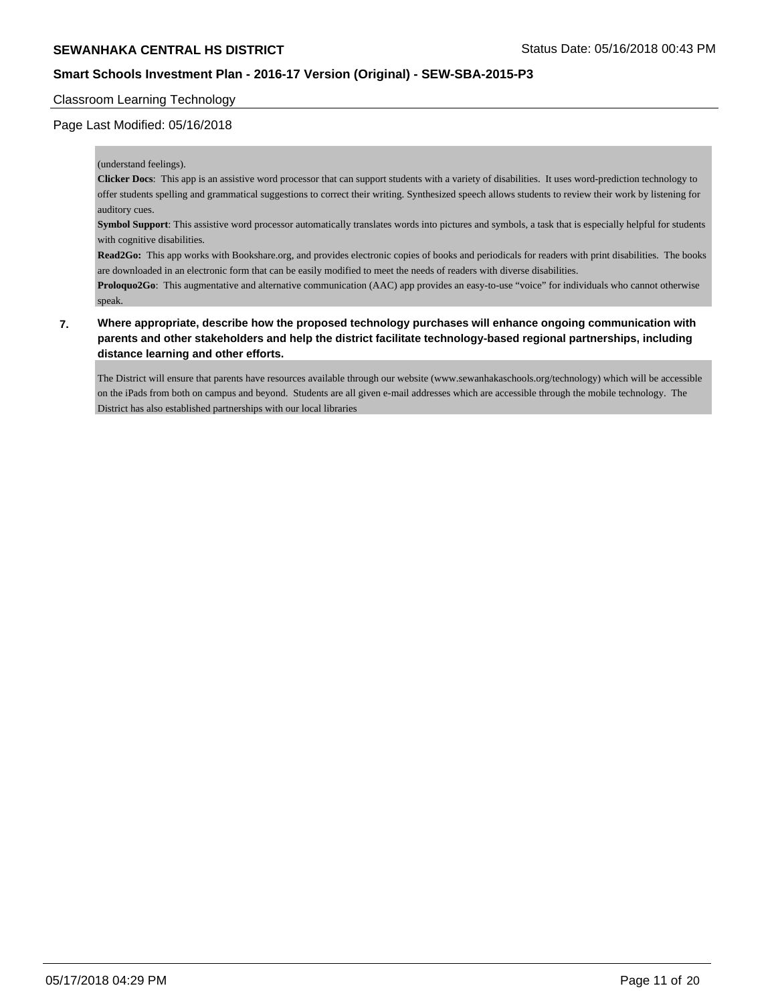### Classroom Learning Technology

### Page Last Modified: 05/16/2018

#### (understand feelings).

**Clicker Docs**: This app is an assistive word processor that can support students with a variety of disabilities. It uses word-prediction technology to offer students spelling and grammatical suggestions to correct their writing. Synthesized speech allows students to review their work by listening for auditory cues.

**Symbol Support**: This assistive word processor automatically translates words into pictures and symbols, a task that is especially helpful for students with cognitive disabilities.

**Read2Go:** This app works with Bookshare.org, and provides electronic copies of books and periodicals for readers with print disabilities. The books are downloaded in an electronic form that can be easily modified to meet the needs of readers with diverse disabilities.

**Proloquo2Go**: This augmentative and alternative communication (AAC) app provides an easy-to-use "voice" for individuals who cannot otherwise speak.

## **7. Where appropriate, describe how the proposed technology purchases will enhance ongoing communication with parents and other stakeholders and help the district facilitate technology-based regional partnerships, including distance learning and other efforts.**

The District will ensure that parents have resources available through our website (www.sewanhakaschools.org/technology) which will be accessible on the iPads from both on campus and beyond. Students are all given e-mail addresses which are accessible through the mobile technology. The District has also established partnerships with our local libraries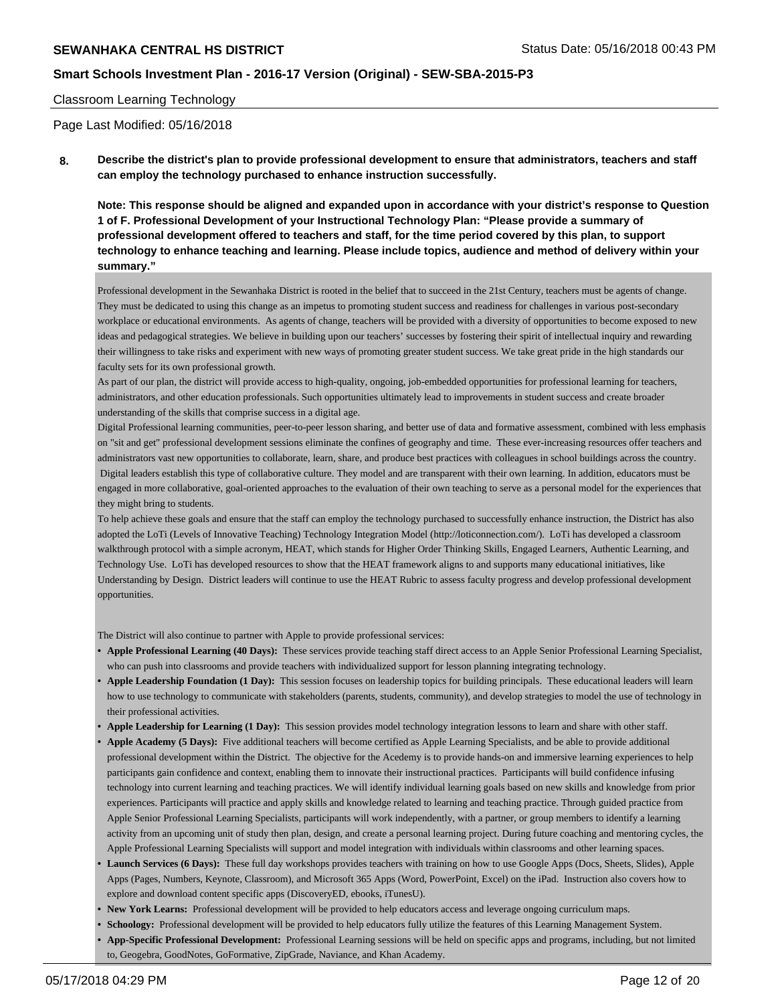### Classroom Learning Technology

Page Last Modified: 05/16/2018

**8. Describe the district's plan to provide professional development to ensure that administrators, teachers and staff can employ the technology purchased to enhance instruction successfully.**

**Note: This response should be aligned and expanded upon in accordance with your district's response to Question 1 of F. Professional Development of your Instructional Technology Plan: "Please provide a summary of professional development offered to teachers and staff, for the time period covered by this plan, to support technology to enhance teaching and learning. Please include topics, audience and method of delivery within your summary."**

Professional development in the Sewanhaka District is rooted in the belief that to succeed in the 21st Century, teachers must be agents of change. They must be dedicated to using this change as an impetus to promoting student success and readiness for challenges in various post-secondary workplace or educational environments. As agents of change, teachers will be provided with a diversity of opportunities to become exposed to new ideas and pedagogical strategies. We believe in building upon our teachers' successes by fostering their spirit of intellectual inquiry and rewarding their willingness to take risks and experiment with new ways of promoting greater student success. We take great pride in the high standards our faculty sets for its own professional growth.

As part of our plan, the district will provide access to high-quality, ongoing, job-embedded opportunities for professional learning for teachers, administrators, and other education professionals. Such opportunities ultimately lead to improvements in student success and create broader understanding of the skills that comprise success in a digital age.

Digital Professional learning communities, peer-to-peer lesson sharing, and better use of data and formative assessment, combined with less emphasis on "sit and get" professional development sessions eliminate the confines of geography and time. These ever-increasing resources offer teachers and administrators vast new opportunities to collaborate, learn, share, and produce best practices with colleagues in school buildings across the country. Digital leaders establish this type of collaborative culture. They model and are transparent with their own learning. In addition, educators must be engaged in more collaborative, goal-oriented approaches to the evaluation of their own teaching to serve as a personal model for the experiences that they might bring to students.

To help achieve these goals and ensure that the staff can employ the technology purchased to successfully enhance instruction, the District has also adopted the LoTi (Levels of Innovative Teaching) Technology Integration Model (http://loticonnection.com/). LoTi has developed a classroom walkthrough protocol with a simple acronym, HEAT, which stands for Higher Order Thinking Skills, Engaged Learners, Authentic Learning, and Technology Use. LoTi has developed resources to show that the HEAT framework aligns to and supports many educational initiatives, like Understanding by Design. District leaders will continue to use the HEAT Rubric to assess faculty progress and develop professional development opportunities.

The District will also continue to partner with Apple to provide professional services:

- **• Apple Professional Learning (40 Days):** These services provide teaching staff direct access to an Apple Senior Professional Learning Specialist, who can push into classrooms and provide teachers with individualized support for lesson planning integrating technology.
- **• Apple Leadership Foundation (1 Day):** This session focuses on leadership topics for building principals. These educational leaders will learn how to use technology to communicate with stakeholders (parents, students, community), and develop strategies to model the use of technology in their professional activities.
- **• Apple Leadership for Learning (1 Day):** This session provides model technology integration lessons to learn and share with other staff.
- **• Apple Academy (5 Days):** Five additional teachers will become certified as Apple Learning Specialists, and be able to provide additional professional development within the District. The objective for the Acedemy is to provide hands-on and immersive learning experiences to help participants gain confidence and context, enabling them to innovate their instructional practices. Participants will build confidence infusing technology into current learning and teaching practices. We will identify individual learning goals based on new skills and knowledge from prior experiences. Participants will practice and apply skills and knowledge related to learning and teaching practice. Through guided practice from Apple Senior Professional Learning Specialists, participants will work independently, with a partner, or group members to identify a learning activity from an upcoming unit of study then plan, design, and create a personal learning project. During future coaching and mentoring cycles, the Apple Professional Learning Specialists will support and model integration with individuals within classrooms and other learning spaces.
- **• Launch Services (6 Days):** These full day workshops provides teachers with training on how to use Google Apps (Docs, Sheets, Slides), Apple Apps (Pages, Numbers, Keynote, Classroom), and Microsoft 365 Apps (Word, PowerPoint, Excel) on the iPad. Instruction also covers how to explore and download content specific apps (DiscoveryED, ebooks, iTunesU).
- **• New York Learns:** Professional development will be provided to help educators access and leverage ongoing curriculum maps.
- **• Schoology:** Professional development will be provided to help educators fully utilize the features of this Learning Management System.
- **• App-Specific Professional Development:** Professional Learning sessions will be held on specific apps and programs, including, but not limited to, Geogebra, GoodNotes, GoFormative, ZipGrade, Naviance, and Khan Academy.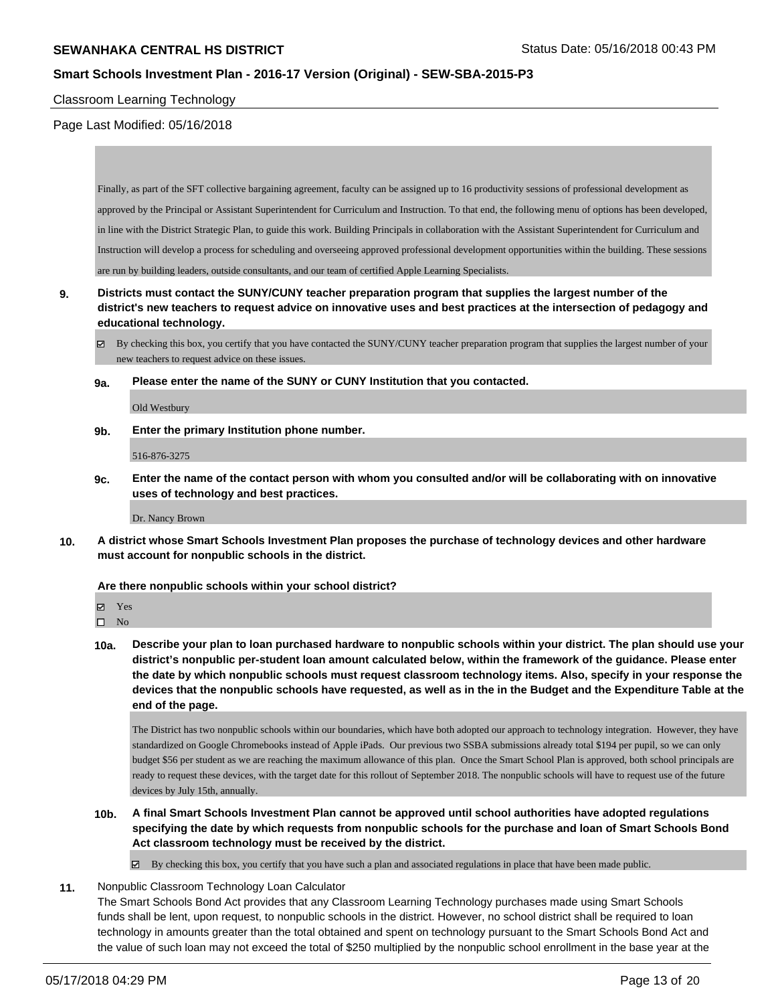## **Smart Schools Investment Plan - 2016-17 Version (Original) - SEW-SBA-2015-P3**

#### Classroom Learning Technology

#### Page Last Modified: 05/16/2018

Finally, as part of the SFT collective bargaining agreement, faculty can be assigned up to 16 productivity sessions of professional development as approved by the Principal or Assistant Superintendent for Curriculum and Instruction. To that end, the following menu of options has been developed, in line with the District Strategic Plan, to guide this work. Building Principals in collaboration with the Assistant Superintendent for Curriculum and Instruction will develop a process for scheduling and overseeing approved professional development opportunities within the building. These sessions are run by building leaders, outside consultants, and our team of certified Apple Learning Specialists.

- **9. Districts must contact the SUNY/CUNY teacher preparation program that supplies the largest number of the district's new teachers to request advice on innovative uses and best practices at the intersection of pedagogy and educational technology.**
	- By checking this box, you certify that you have contacted the SUNY/CUNY teacher preparation program that supplies the largest number of your new teachers to request advice on these issues.
	- **9a. Please enter the name of the SUNY or CUNY Institution that you contacted.**

Old Westbury

**9b. Enter the primary Institution phone number.**

#### 516-876-3275

**9c. Enter the name of the contact person with whom you consulted and/or will be collaborating with on innovative uses of technology and best practices.**

Dr. Nancy Brown

**10. A district whose Smart Schools Investment Plan proposes the purchase of technology devices and other hardware must account for nonpublic schools in the district.**

#### **Are there nonpublic schools within your school district?**

Yes

 $\hfill \square$  No

**10a. Describe your plan to loan purchased hardware to nonpublic schools within your district. The plan should use your district's nonpublic per-student loan amount calculated below, within the framework of the guidance. Please enter the date by which nonpublic schools must request classroom technology items. Also, specify in your response the devices that the nonpublic schools have requested, as well as in the in the Budget and the Expenditure Table at the end of the page.**

The District has two nonpublic schools within our boundaries, which have both adopted our approach to technology integration. However, they have standardized on Google Chromebooks instead of Apple iPads. Our previous two SSBA submissions already total \$194 per pupil, so we can only budget \$56 per student as we are reaching the maximum allowance of this plan. Once the Smart School Plan is approved, both school principals are ready to request these devices, with the target date for this rollout of September 2018. The nonpublic schools will have to request use of the future devices by July 15th, annually.

**10b. A final Smart Schools Investment Plan cannot be approved until school authorities have adopted regulations specifying the date by which requests from nonpublic schools for the purchase and loan of Smart Schools Bond Act classroom technology must be received by the district.**

 $\boxtimes$  By checking this box, you certify that you have such a plan and associated regulations in place that have been made public.

**11.** Nonpublic Classroom Technology Loan Calculator

The Smart Schools Bond Act provides that any Classroom Learning Technology purchases made using Smart Schools funds shall be lent, upon request, to nonpublic schools in the district. However, no school district shall be required to loan technology in amounts greater than the total obtained and spent on technology pursuant to the Smart Schools Bond Act and the value of such loan may not exceed the total of \$250 multiplied by the nonpublic school enrollment in the base year at the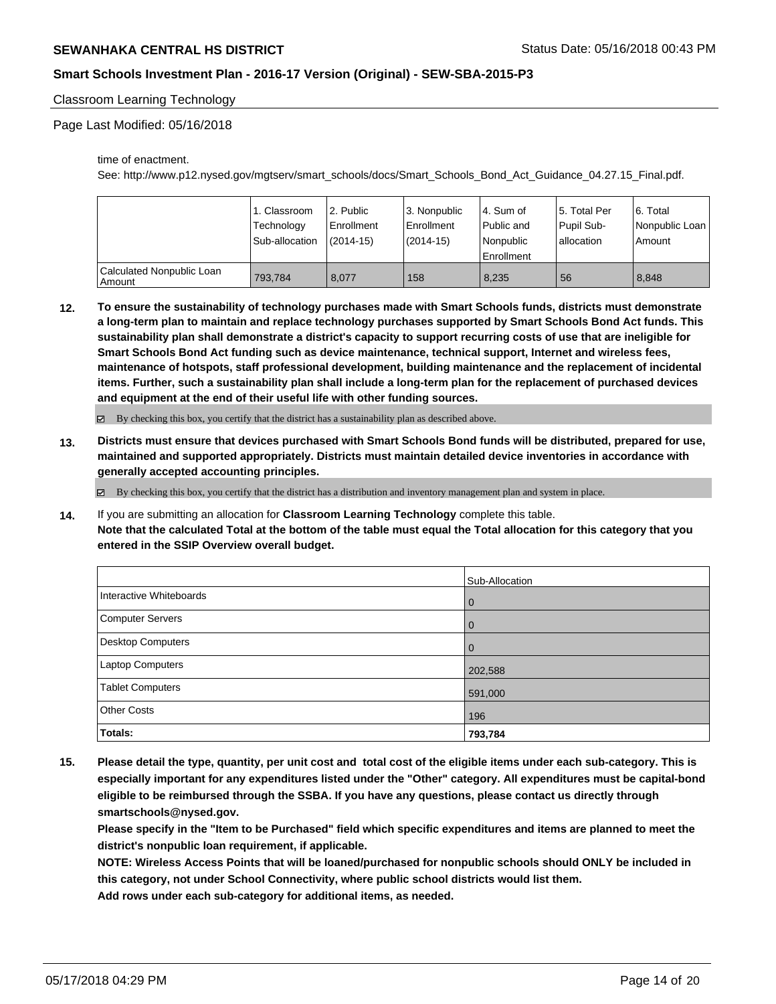# **Smart Schools Investment Plan - 2016-17 Version (Original) - SEW-SBA-2015-P3**

### Classroom Learning Technology

Page Last Modified: 05/16/2018

time of enactment.

See: http://www.p12.nysed.gov/mgtserv/smart\_schools/docs/Smart\_Schools\_Bond\_Act\_Guidance\_04.27.15\_Final.pdf.

|                                     | 1. Classroom   | l 2. Public | l 3. Nonpublic | l 4. Sum of | 15. Total Per | 6. Total       |
|-------------------------------------|----------------|-------------|----------------|-------------|---------------|----------------|
|                                     | Technology     | Enrollment  | Enrollment     | Public and  | Pupil Sub-    | Nonpublic Loan |
|                                     | Sub-allocation | (2014-15)   | $(2014-15)$    | l Nonpublic | allocation    | Amount         |
|                                     |                |             |                | Enrollment  |               |                |
| Calculated Nonpublic Loan<br>Amount | 793.784        | 8.077       | 158            | 8,235       | 56            | 8.848          |

**12. To ensure the sustainability of technology purchases made with Smart Schools funds, districts must demonstrate a long-term plan to maintain and replace technology purchases supported by Smart Schools Bond Act funds. This sustainability plan shall demonstrate a district's capacity to support recurring costs of use that are ineligible for Smart Schools Bond Act funding such as device maintenance, technical support, Internet and wireless fees, maintenance of hotspots, staff professional development, building maintenance and the replacement of incidental items. Further, such a sustainability plan shall include a long-term plan for the replacement of purchased devices and equipment at the end of their useful life with other funding sources.**

By checking this box, you certify that the district has a sustainability plan as described above.

**13. Districts must ensure that devices purchased with Smart Schools Bond funds will be distributed, prepared for use, maintained and supported appropriately. Districts must maintain detailed device inventories in accordance with generally accepted accounting principles.**

 $\boxtimes$  By checking this box, you certify that the district has a distribution and inventory management plan and system in place.

**14.** If you are submitting an allocation for **Classroom Learning Technology** complete this table. **Note that the calculated Total at the bottom of the table must equal the Total allocation for this category that you entered in the SSIP Overview overall budget.**

|                         | Sub-Allocation |
|-------------------------|----------------|
| Interactive Whiteboards | l 0            |
| Computer Servers        | l 0            |
| Desktop Computers       | l 0            |
| Laptop Computers        | 202,588        |
| Tablet Computers        | 591,000        |
| <b>Other Costs</b>      | 196            |
| <b>Totals:</b>          | 793,784        |

**15. Please detail the type, quantity, per unit cost and total cost of the eligible items under each sub-category. This is especially important for any expenditures listed under the "Other" category. All expenditures must be capital-bond eligible to be reimbursed through the SSBA. If you have any questions, please contact us directly through smartschools@nysed.gov.**

**Please specify in the "Item to be Purchased" field which specific expenditures and items are planned to meet the district's nonpublic loan requirement, if applicable.**

**NOTE: Wireless Access Points that will be loaned/purchased for nonpublic schools should ONLY be included in this category, not under School Connectivity, where public school districts would list them. Add rows under each sub-category for additional items, as needed.**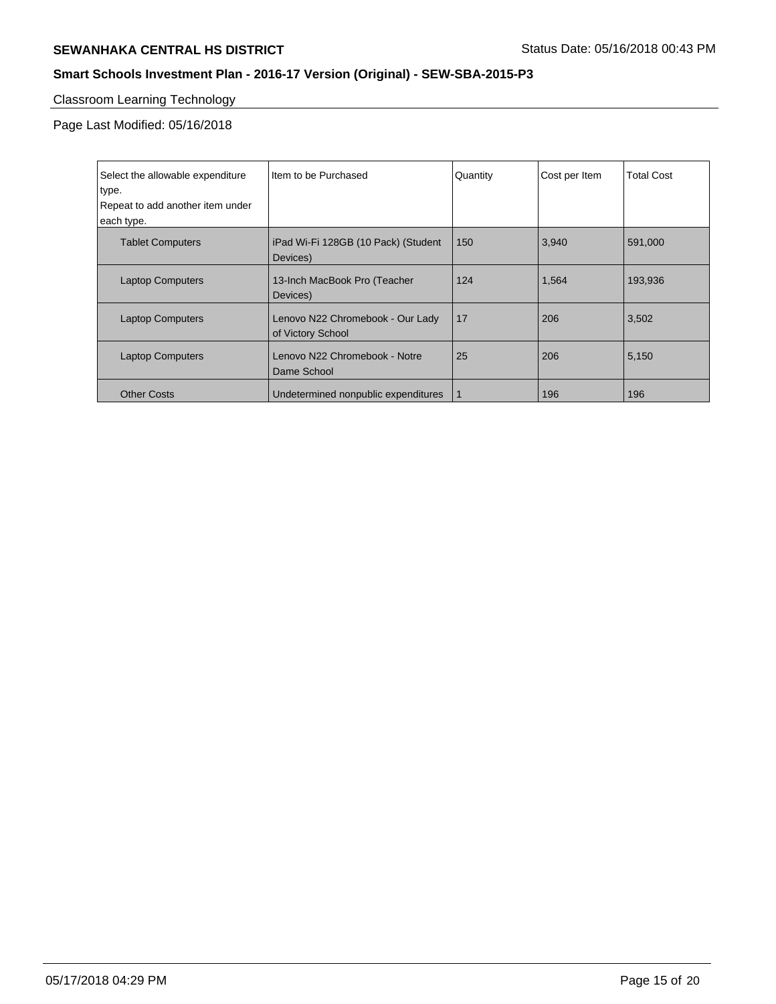# **SEWANHAKA CENTRAL HS DISTRICT** SEWANHAKA CENTRAL HS DISTRICT

# **Smart Schools Investment Plan - 2016-17 Version (Original) - SEW-SBA-2015-P3**

# Classroom Learning Technology

Page Last Modified: 05/16/2018

| Select the allowable expenditure<br>type.<br>Repeat to add another item under<br>each type. | I Item to be Purchased                                | Quantity | Cost per Item | <b>Total Cost</b> |
|---------------------------------------------------------------------------------------------|-------------------------------------------------------|----------|---------------|-------------------|
| <b>Tablet Computers</b>                                                                     | iPad Wi-Fi 128GB (10 Pack) (Student<br>Devices)       | 150      | 3,940         | 591,000           |
| <b>Laptop Computers</b>                                                                     | 13-Inch MacBook Pro (Teacher<br>Devices)              | 124      | 1,564         | 193,936           |
| <b>Laptop Computers</b>                                                                     | Lenovo N22 Chromebook - Our Lady<br>of Victory School | 17       | 206           | 3,502             |
| <b>Laptop Computers</b>                                                                     | Lenovo N22 Chromebook - Notre<br>Dame School          | 25       | 206           | 5,150             |
| <b>Other Costs</b>                                                                          | Undetermined nonpublic expenditures                   |          | 196           | 196               |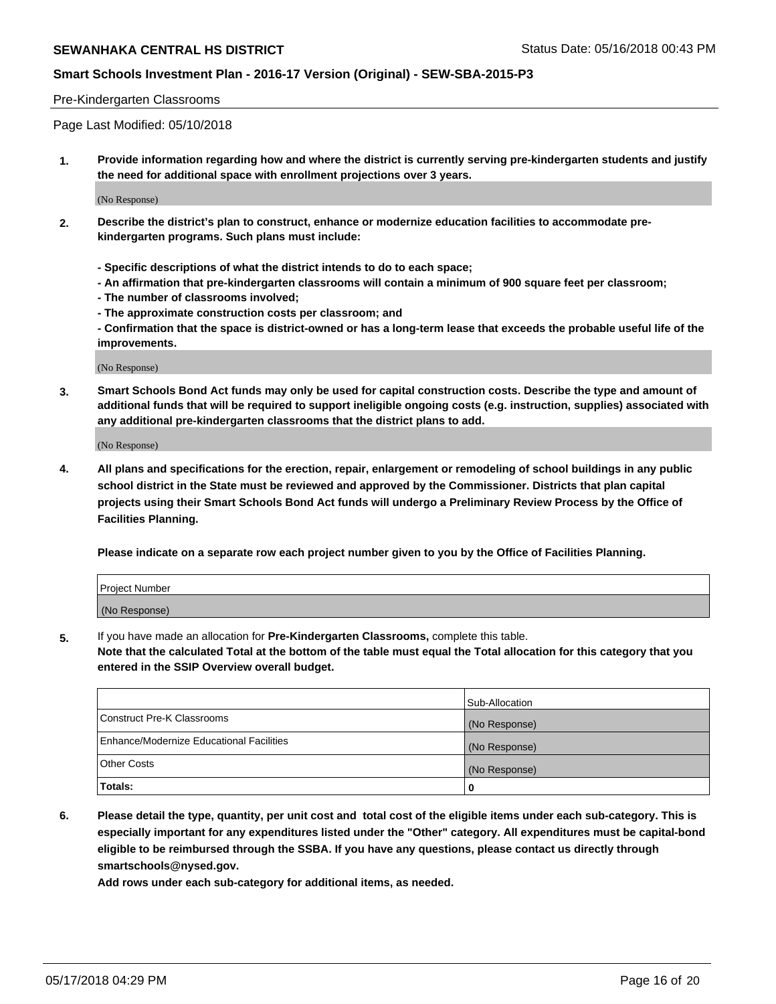# **Smart Schools Investment Plan - 2016-17 Version (Original) - SEW-SBA-2015-P3**

#### Pre-Kindergarten Classrooms

Page Last Modified: 05/10/2018

**1. Provide information regarding how and where the district is currently serving pre-kindergarten students and justify the need for additional space with enrollment projections over 3 years.**

(No Response)

- **2. Describe the district's plan to construct, enhance or modernize education facilities to accommodate prekindergarten programs. Such plans must include:**
	- **Specific descriptions of what the district intends to do to each space;**
	- **An affirmation that pre-kindergarten classrooms will contain a minimum of 900 square feet per classroom;**
	- **The number of classrooms involved;**
	- **The approximate construction costs per classroom; and**
	- **Confirmation that the space is district-owned or has a long-term lease that exceeds the probable useful life of the improvements.**

(No Response)

**3. Smart Schools Bond Act funds may only be used for capital construction costs. Describe the type and amount of additional funds that will be required to support ineligible ongoing costs (e.g. instruction, supplies) associated with any additional pre-kindergarten classrooms that the district plans to add.**

(No Response)

**4. All plans and specifications for the erection, repair, enlargement or remodeling of school buildings in any public school district in the State must be reviewed and approved by the Commissioner. Districts that plan capital projects using their Smart Schools Bond Act funds will undergo a Preliminary Review Process by the Office of Facilities Planning.**

**Please indicate on a separate row each project number given to you by the Office of Facilities Planning.**

| <b>Project Number</b> |  |
|-----------------------|--|
| (No Response)         |  |

**5.** If you have made an allocation for **Pre-Kindergarten Classrooms,** complete this table.

**Note that the calculated Total at the bottom of the table must equal the Total allocation for this category that you entered in the SSIP Overview overall budget.**

|                                          | Sub-Allocation |
|------------------------------------------|----------------|
| Construct Pre-K Classrooms               | (No Response)  |
| Enhance/Modernize Educational Facilities | (No Response)  |
| Other Costs                              | (No Response)  |
| Totals:                                  | 0              |

**6. Please detail the type, quantity, per unit cost and total cost of the eligible items under each sub-category. This is especially important for any expenditures listed under the "Other" category. All expenditures must be capital-bond eligible to be reimbursed through the SSBA. If you have any questions, please contact us directly through smartschools@nysed.gov.**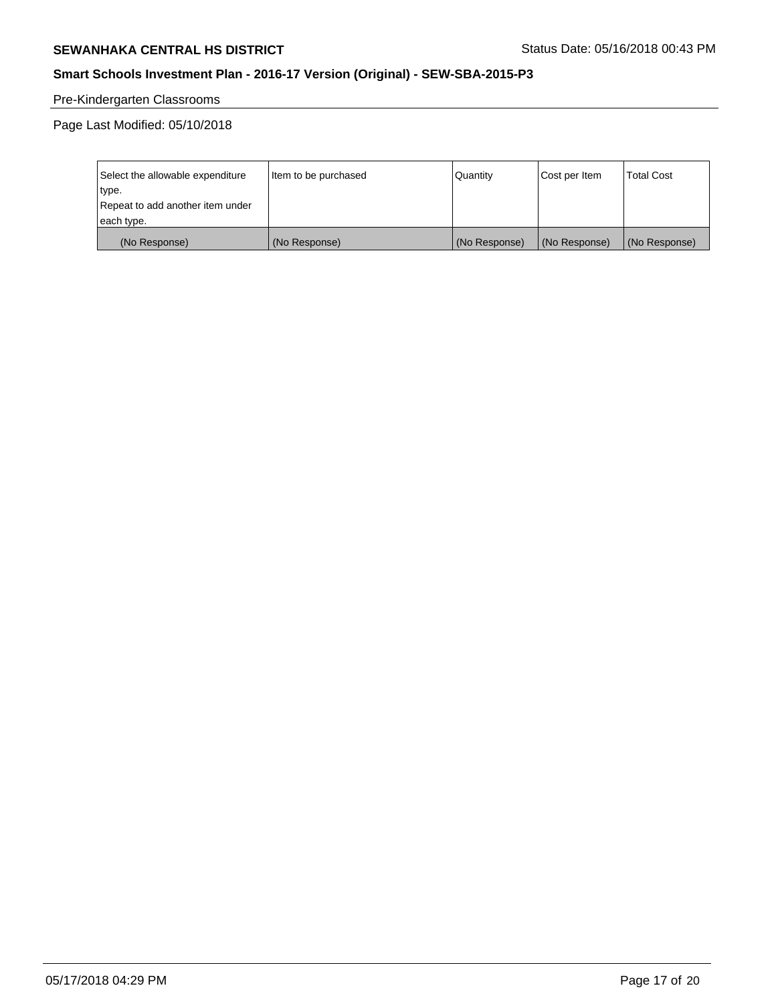# **SEWANHAKA CENTRAL HS DISTRICT** SEWANHAKA CENTRAL HS DISTRICT

# **Smart Schools Investment Plan - 2016-17 Version (Original) - SEW-SBA-2015-P3**

# Pre-Kindergarten Classrooms

Page Last Modified: 05/10/2018

| Select the allowable expenditure | Item to be purchased | Quantity      | Cost per Item | <b>Total Cost</b> |
|----------------------------------|----------------------|---------------|---------------|-------------------|
| type.                            |                      |               |               |                   |
| Repeat to add another item under |                      |               |               |                   |
| each type.                       |                      |               |               |                   |
| (No Response)                    | (No Response)        | (No Response) | (No Response) | (No Response)     |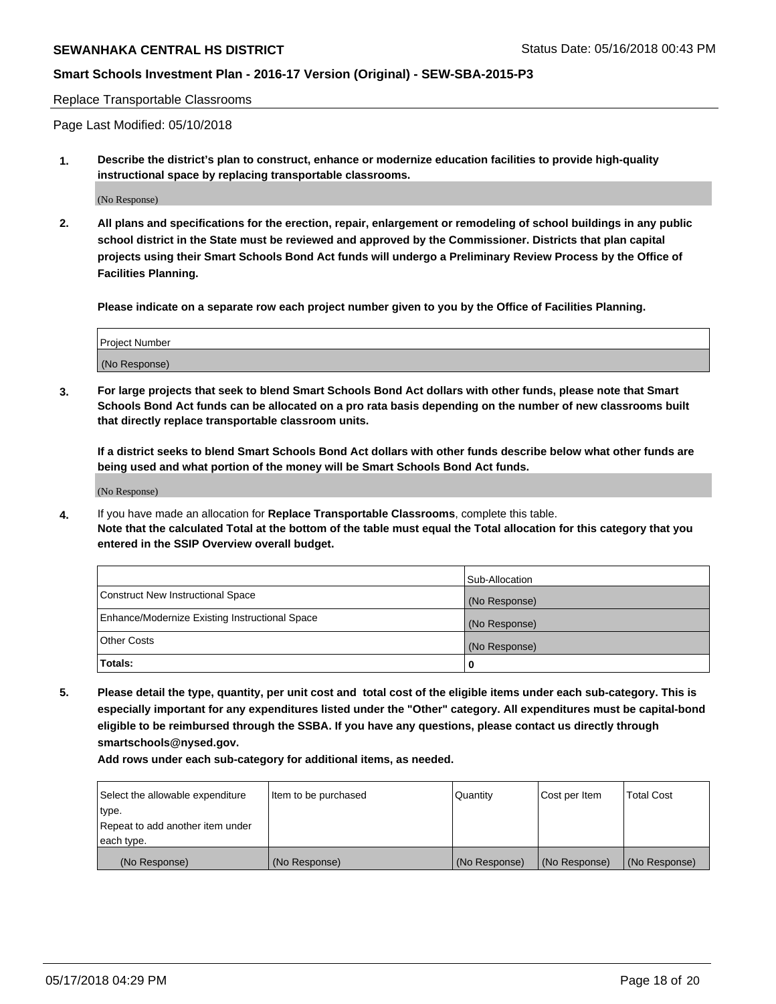# **Smart Schools Investment Plan - 2016-17 Version (Original) - SEW-SBA-2015-P3**

#### Replace Transportable Classrooms

Page Last Modified: 05/10/2018

**1. Describe the district's plan to construct, enhance or modernize education facilities to provide high-quality instructional space by replacing transportable classrooms.**

(No Response)

**2. All plans and specifications for the erection, repair, enlargement or remodeling of school buildings in any public school district in the State must be reviewed and approved by the Commissioner. Districts that plan capital projects using their Smart Schools Bond Act funds will undergo a Preliminary Review Process by the Office of Facilities Planning.**

**Please indicate on a separate row each project number given to you by the Office of Facilities Planning.**

| <b>Project Number</b> |  |
|-----------------------|--|
| (No Response)         |  |

**3. For large projects that seek to blend Smart Schools Bond Act dollars with other funds, please note that Smart Schools Bond Act funds can be allocated on a pro rata basis depending on the number of new classrooms built that directly replace transportable classroom units.**

**If a district seeks to blend Smart Schools Bond Act dollars with other funds describe below what other funds are being used and what portion of the money will be Smart Schools Bond Act funds.**

(No Response)

**4.** If you have made an allocation for **Replace Transportable Classrooms**, complete this table. **Note that the calculated Total at the bottom of the table must equal the Total allocation for this category that you entered in the SSIP Overview overall budget.**

|                                                | Sub-Allocation |
|------------------------------------------------|----------------|
| Construct New Instructional Space              | (No Response)  |
| Enhance/Modernize Existing Instructional Space | (No Response)  |
| Other Costs                                    | (No Response)  |
| Totals:                                        | 0              |

**5. Please detail the type, quantity, per unit cost and total cost of the eligible items under each sub-category. This is especially important for any expenditures listed under the "Other" category. All expenditures must be capital-bond eligible to be reimbursed through the SSBA. If you have any questions, please contact us directly through smartschools@nysed.gov.**

| Select the allowable expenditure | Item to be purchased | Quantity      | Cost per Item | <b>Total Cost</b> |
|----------------------------------|----------------------|---------------|---------------|-------------------|
| type.                            |                      |               |               |                   |
| Repeat to add another item under |                      |               |               |                   |
| each type.                       |                      |               |               |                   |
| (No Response)                    | (No Response)        | (No Response) | (No Response) | (No Response)     |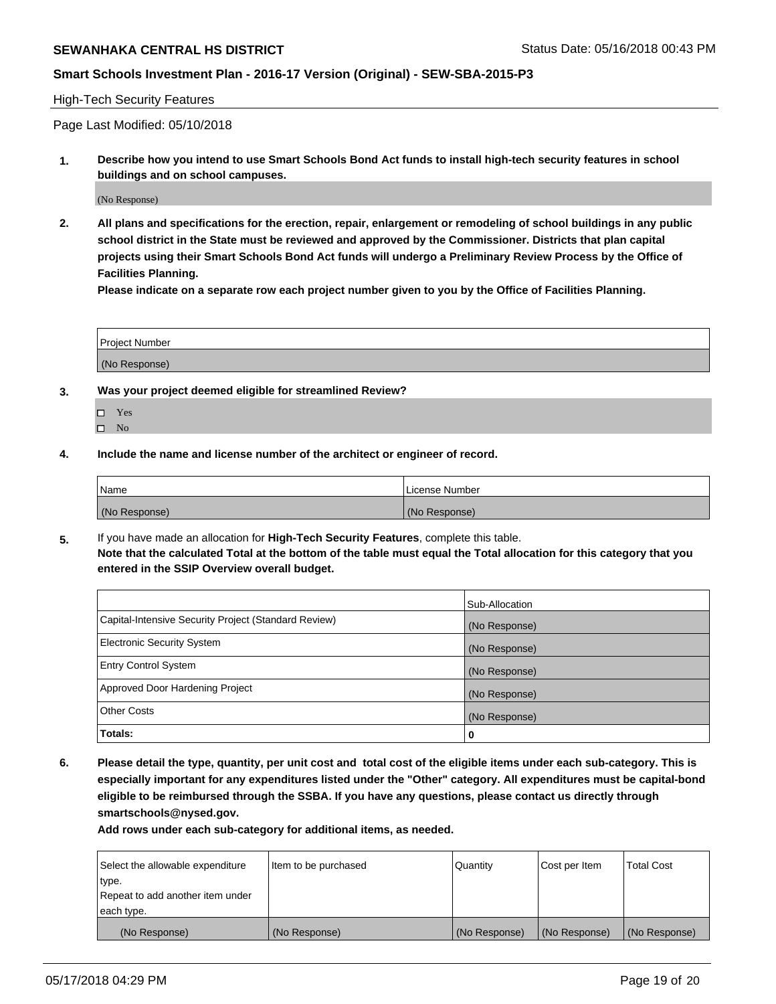# **Smart Schools Investment Plan - 2016-17 Version (Original) - SEW-SBA-2015-P3**

### High-Tech Security Features

Page Last Modified: 05/10/2018

**1. Describe how you intend to use Smart Schools Bond Act funds to install high-tech security features in school buildings and on school campuses.**

(No Response)

**2. All plans and specifications for the erection, repair, enlargement or remodeling of school buildings in any public school district in the State must be reviewed and approved by the Commissioner. Districts that plan capital projects using their Smart Schools Bond Act funds will undergo a Preliminary Review Process by the Office of Facilities Planning.** 

**Please indicate on a separate row each project number given to you by the Office of Facilities Planning.**

| <b>Project Number</b> |  |  |
|-----------------------|--|--|
|                       |  |  |
| (No Response)         |  |  |

- **3. Was your project deemed eligible for streamlined Review?**
	- Yes  $\square$  No
- **4. Include the name and license number of the architect or engineer of record.**

| Name          | License Number |
|---------------|----------------|
| (No Response) | (No Response)  |

**5.** If you have made an allocation for **High-Tech Security Features**, complete this table. **Note that the calculated Total at the bottom of the table must equal the Total allocation for this category that you entered in the SSIP Overview overall budget.**

|                                                      | Sub-Allocation |
|------------------------------------------------------|----------------|
| Capital-Intensive Security Project (Standard Review) | (No Response)  |
| <b>Electronic Security System</b>                    | (No Response)  |
| <b>Entry Control System</b>                          | (No Response)  |
| Approved Door Hardening Project                      | (No Response)  |
| <b>Other Costs</b>                                   | (No Response)  |
| Totals:                                              | 0              |

**6. Please detail the type, quantity, per unit cost and total cost of the eligible items under each sub-category. This is especially important for any expenditures listed under the "Other" category. All expenditures must be capital-bond eligible to be reimbursed through the SSBA. If you have any questions, please contact us directly through smartschools@nysed.gov.**

| Select the allowable expenditure | Item to be purchased | Quantity      | Cost per Item | <b>Total Cost</b> |
|----------------------------------|----------------------|---------------|---------------|-------------------|
| type.                            |                      |               |               |                   |
| Repeat to add another item under |                      |               |               |                   |
| each type.                       |                      |               |               |                   |
| (No Response)                    | (No Response)        | (No Response) | (No Response) | (No Response)     |